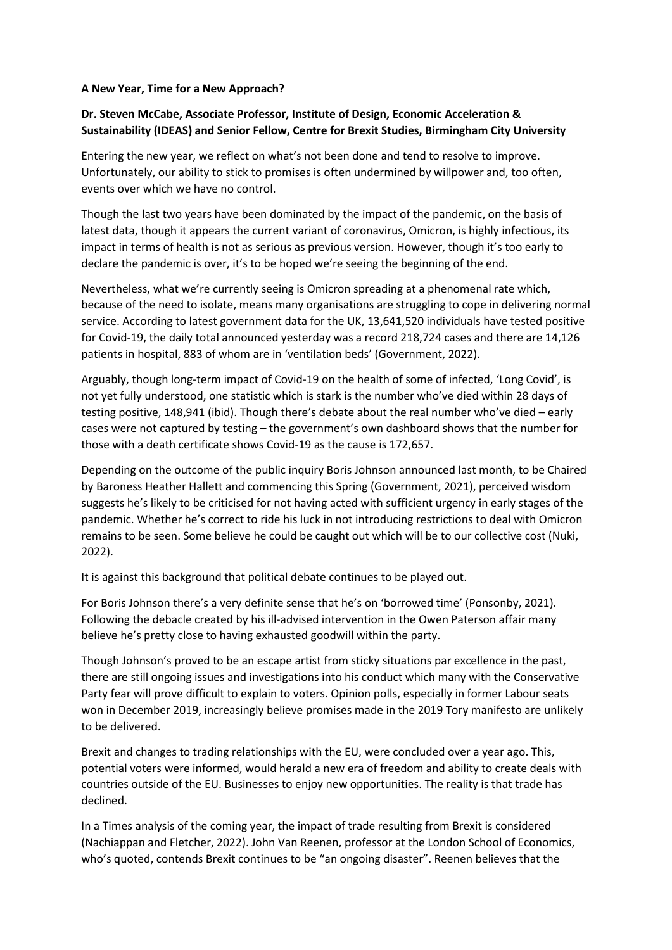## **A New Year, Time for a New Approach?**

## **Dr. Steven McCabe, Associate Professor, Institute of Design, Economic Acceleration & Sustainability (IDEAS) and Senior Fellow, Centre for Brexit Studies, Birmingham City University**

Entering the new year, we reflect on what's not been done and tend to resolve to improve. Unfortunately, our ability to stick to promises is often undermined by willpower and, too often, events over which we have no control.

Though the last two years have been dominated by the impact of the pandemic, on the basis of latest data, though it appears the current variant of coronavirus, Omicron, is highly infectious, its impact in terms of health is not as serious as previous version. However, though it's too early to declare the pandemic is over, it's to be hoped we're seeing the beginning of the end.

Nevertheless, what we're currently seeing is Omicron spreading at a phenomenal rate which, because of the need to isolate, means many organisations are struggling to cope in delivering normal service. According to latest government data for the UK, 13,641,520 individuals have tested positive for Covid-19, the daily total announced yesterday was a record 218,724 cases and there are 14,126 patients in hospital, 883 of whom are in 'ventilation beds' (Government, 2022).

Arguably, though long-term impact of Covid-19 on the health of some of infected, 'Long Covid', is not yet fully understood, one statistic which is stark is the number who've died within 28 days of testing positive, 148,941 (ibid). Though there's debate about the real number who've died – early cases were not captured by testing – the government's own dashboard shows that the number for those with a death certificate shows Covid-19 as the cause is 172,657.

Depending on the outcome of the public inquiry Boris Johnson announced last month, to be Chaired by Baroness Heather Hallett and commencing this Spring (Government, 2021), perceived wisdom suggests he's likely to be criticised for not having acted with sufficient urgency in early stages of the pandemic. Whether he's correct to ride his luck in not introducing restrictions to deal with Omicron remains to be seen. Some believe he could be caught out which will be to our collective cost (Nuki, 2022).

It is against this background that political debate continues to be played out.

For Boris Johnson there's a very definite sense that he's on 'borrowed time' (Ponsonby, 2021). Following the debacle created by his ill-advised intervention in the Owen Paterson affair many believe he's pretty close to having exhausted goodwill within the party.

Though Johnson's proved to be an escape artist from sticky situations par excellence in the past, there are still ongoing issues and investigations into his conduct which many with the Conservative Party fear will prove difficult to explain to voters. Opinion polls, especially in former Labour seats won in December 2019, increasingly believe promises made in the 2019 Tory manifesto are unlikely to be delivered.

Brexit and changes to trading relationships with the EU, were concluded over a year ago. This, potential voters were informed, would herald a new era of freedom and ability to create deals with countries outside of the EU. Businesses to enjoy new opportunities. The reality is that trade has declined.

In a Times analysis of the coming year, the impact of trade resulting from Brexit is considered (Nachiappan and Fletcher, 2022). John Van Reenen, professor at the London School of Economics, who's quoted, contends Brexit continues to be "an ongoing disaster". Reenen believes that the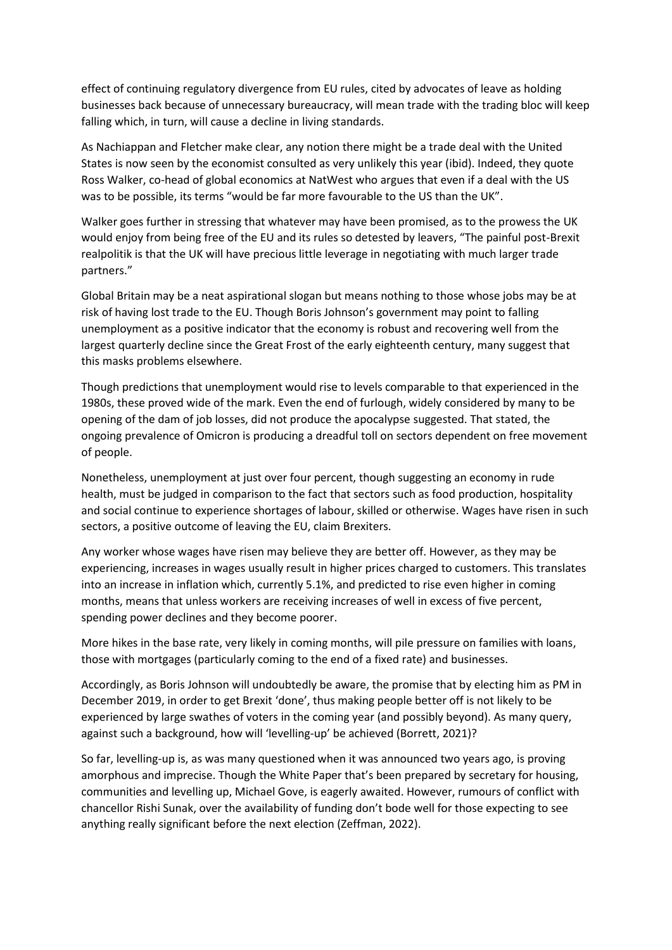effect of continuing regulatory divergence from EU rules, cited by advocates of leave as holding businesses back because of unnecessary bureaucracy, will mean trade with the trading bloc will keep falling which, in turn, will cause a decline in living standards.

As Nachiappan and Fletcher make clear, any notion there might be a trade deal with the United States is now seen by the economist consulted as very unlikely this year (ibid). Indeed, they quote Ross Walker, co-head of global economics at NatWest who argues that even if a deal with the US was to be possible, its terms "would be far more favourable to the US than the UK".

Walker goes further in stressing that whatever may have been promised, as to the prowess the UK would enjoy from being free of the EU and its rules so detested by leavers, "The painful post-Brexit realpolitik is that the UK will have precious little leverage in negotiating with much larger trade partners."

Global Britain may be a neat aspirational slogan but means nothing to those whose jobs may be at risk of having lost trade to the EU. Though Boris Johnson's government may point to falling unemployment as a positive indicator that the economy is robust and recovering well from the largest quarterly decline since the Great Frost of the early eighteenth century, many suggest that this masks problems elsewhere.

Though predictions that unemployment would rise to levels comparable to that experienced in the 1980s, these proved wide of the mark. Even the end of furlough, widely considered by many to be opening of the dam of job losses, did not produce the apocalypse suggested. That stated, the ongoing prevalence of Omicron is producing a dreadful toll on sectors dependent on free movement of people.

Nonetheless, unemployment at just over four percent, though suggesting an economy in rude health, must be judged in comparison to the fact that sectors such as food production, hospitality and social continue to experience shortages of labour, skilled or otherwise. Wages have risen in such sectors, a positive outcome of leaving the EU, claim Brexiters.

Any worker whose wages have risen may believe they are better off. However, as they may be experiencing, increases in wages usually result in higher prices charged to customers. This translates into an increase in inflation which, currently 5.1%, and predicted to rise even higher in coming months, means that unless workers are receiving increases of well in excess of five percent, spending power declines and they become poorer.

More hikes in the base rate, very likely in coming months, will pile pressure on families with loans, those with mortgages (particularly coming to the end of a fixed rate) and businesses.

Accordingly, as Boris Johnson will undoubtedly be aware, the promise that by electing him as PM in December 2019, in order to get Brexit 'done', thus making people better off is not likely to be experienced by large swathes of voters in the coming year (and possibly beyond). As many query, against such a background, how will 'levelling-up' be achieved (Borrett, 2021)?

So far, levelling-up is, as was many questioned when it was announced two years ago, is proving amorphous and imprecise. Though the White Paper that's been prepared by secretary for housing, communities and levelling up, Michael Gove, is eagerly awaited. However, rumours of conflict with chancellor Rishi Sunak, over the availability of funding don't bode well for those expecting to see anything really significant before the next election (Zeffman, 2022).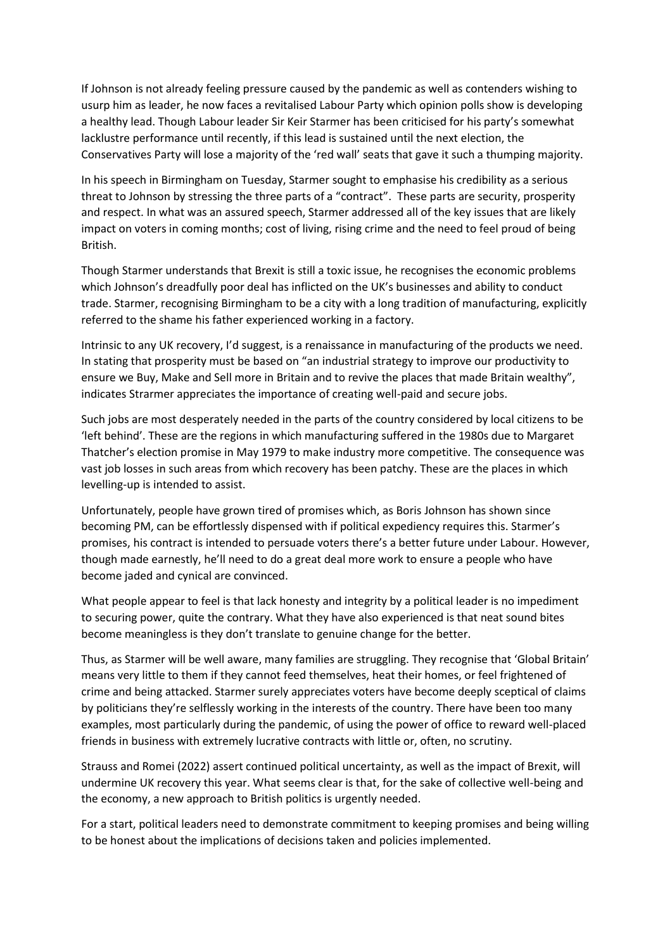If Johnson is not already feeling pressure caused by the pandemic as well as contenders wishing to usurp him as leader, he now faces a revitalised Labour Party which opinion polls show is developing a healthy lead. Though Labour leader Sir Keir Starmer has been criticised for his party's somewhat lacklustre performance until recently, if this lead is sustained until the next election, the Conservatives Party will lose a majority of the 'red wall' seats that gave it such a thumping majority.

In his speech in Birmingham on Tuesday, Starmer sought to emphasise his credibility as a serious threat to Johnson by stressing the three parts of a "contract". These parts are security, prosperity and respect. In what was an assured speech, Starmer addressed all of the key issues that are likely impact on voters in coming months; cost of living, rising crime and the need to feel proud of being British.

Though Starmer understands that Brexit is still a toxic issue, he recognises the economic problems which Johnson's dreadfully poor deal has inflicted on the UK's businesses and ability to conduct trade. Starmer, recognising Birmingham to be a city with a long tradition of manufacturing, explicitly referred to the shame his father experienced working in a factory.

Intrinsic to any UK recovery, I'd suggest, is a renaissance in manufacturing of the products we need. In stating that prosperity must be based on "an industrial strategy to improve our productivity to ensure we Buy, Make and Sell more in Britain and to revive the places that made Britain wealthy", indicates Strarmer appreciates the importance of creating well-paid and secure jobs.

Such jobs are most desperately needed in the parts of the country considered by local citizens to be 'left behind'. These are the regions in which manufacturing suffered in the 1980s due to Margaret Thatcher's election promise in May 1979 to make industry more competitive. The consequence was vast job losses in such areas from which recovery has been patchy. These are the places in which levelling-up is intended to assist.

Unfortunately, people have grown tired of promises which, as Boris Johnson has shown since becoming PM, can be effortlessly dispensed with if political expediency requires this. Starmer's promises, his contract is intended to persuade voters there's a better future under Labour. However, though made earnestly, he'll need to do a great deal more work to ensure a people who have become jaded and cynical are convinced.

What people appear to feel is that lack honesty and integrity by a political leader is no impediment to securing power, quite the contrary. What they have also experienced is that neat sound bites become meaningless is they don't translate to genuine change for the better.

Thus, as Starmer will be well aware, many families are struggling. They recognise that 'Global Britain' means very little to them if they cannot feed themselves, heat their homes, or feel frightened of crime and being attacked. Starmer surely appreciates voters have become deeply sceptical of claims by politicians they're selflessly working in the interests of the country. There have been too many examples, most particularly during the pandemic, of using the power of office to reward well-placed friends in business with extremely lucrative contracts with little or, often, no scrutiny.

Strauss and Romei (2022) assert continued political uncertainty, as well as the impact of Brexit, will undermine UK recovery this year. What seems clear is that, for the sake of collective well-being and the economy, a new approach to British politics is urgently needed.

For a start, political leaders need to demonstrate commitment to keeping promises and being willing to be honest about the implications of decisions taken and policies implemented.